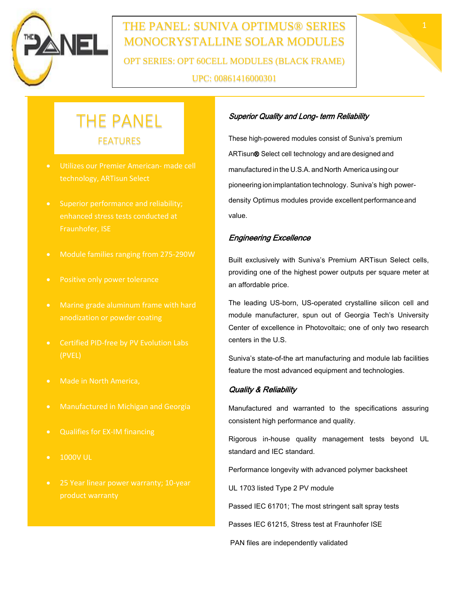

# THE PANEL: SUNIVA OPTIMUS® SERIES 1 MONOCRYSTALLINE SOLAR MODULES OPT SERIES: OPT 60CELL MODULES (BLACK FRAME) UPC: 00861416000301



# THE PANEL FEATURES

- Utilizes our Premier American- made cell technology, ARTisun Select
- Superior performance and reliability; enhanced stress tests conducted at Fraunhofer, ISE
- Module families ranging from 275-290W
- Positive only power tolerance
- 
- Certified PID-free by PV Evolution Labs (PVEL)
- Made in North America,
- Manufactured in Michigan and Georgia
- Qualifies for EX-IM financing
- 1000V UL
- 

#### Superior Quality and Long- term Reliability

These high-powered modules consist of Suniva's premium ARTisun® Select cell technology and are designed and manufactured in the U.S.A. and North America using our pioneering ion implantation technology. Suniva's high powerdensity Optimus modules provide excellent performance and value.

#### Engineering Excellence

Built exclusively with Suniva's Premium ARTisun Select cells, providing one of the highest power outputs per square meter at an affordable price.

The leading US-born, US-operated crystalline silicon cell and module manufacturer, spun out of Georgia Tech's University Center of excellence in Photovoltaic; one of only two research centers in the U.S.

Suniva's state-of-the art manufacturing and module lab facilities feature the most advanced equipment and technologies.

#### Quality & Reliability

Manufactured and warranted to the specifications assuring consistent high performance and quality.

Rigorous in-house quality management tests beyond UL standard and IEC standard.

Performance longevity with advanced polymer backsheet

UL 1703 listed Type 2 PV module

Passed IEC 61701; The most stringent salt spray tests

Passes IEC 61215, Stress test at Fraunhofer ISE

PAN files are independently validated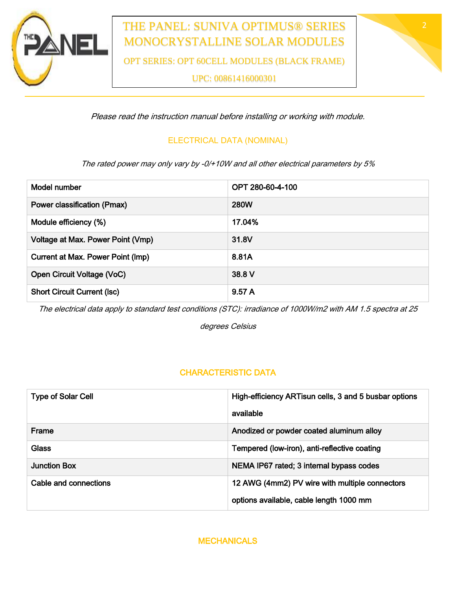

## THE PANEL: SUNIVA OPTIMUS® SERIES MONOCRYSTALLINE SOLAR MODULES

OPT SERIES: OPT 60CELL MODULES (BLACK FRAME)

UPC: 00861416000301

Please read the instruction manual before installing or working with module.

### ELECTRICAL DATA (NOMINAL)

The rated power may only vary by -0/+10W and all other electrical parameters by 5%

| Model number                       | OPT 280-60-4-100 |  |
|------------------------------------|------------------|--|
| Power classification (Pmax)        | <b>280W</b>      |  |
| Module efficiency (%)              | 17.04%           |  |
| Voltage at Max. Power Point (Vmp)  | 31.8V            |  |
| Current at Max. Power Point (Imp)  | 8.81A            |  |
| Open Circuit Voltage (VoC)         | 38.8 V           |  |
| <b>Short Circuit Current (Isc)</b> | 9.57 A           |  |
|                                    |                  |  |

The electrical data apply to standard test conditions (STC): irradiance of 1000W/m2 with AM 1.5 spectra at 25

degrees Celsius

### CHARACTERISTIC DATA

| <b>Type of Solar Cell</b> | High-efficiency ARTisun cells, 3 and 5 busbar options |
|---------------------------|-------------------------------------------------------|
|                           | available                                             |
| Frame                     | Anodized or powder coated aluminum alloy              |
| <b>Glass</b>              | Tempered (low-iron), anti-reflective coating          |
| <b>Junction Box</b>       | NEMA IP67 rated; 3 internal bypass codes              |
| Cable and connections     | 12 AWG (4mm2) PV wire with multiple connectors        |
|                           | options available, cable length 1000 mm               |